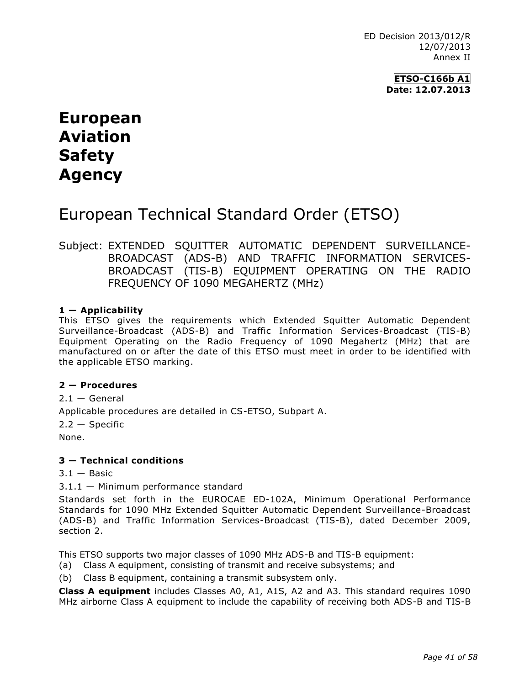ED Decision 2013/012/R 12/07/2013 Annex II

> **ETSO-C166b A1 Date: 12.07.2013**

# **European Aviation Safety Agency**

## European Technical Standard Order (ETSO)

Subject: EXTENDED SQUITTER AUTOMATIC DEPENDENT SURVEILLANCE-BROADCAST (ADS-B) AND TRAFFIC INFORMATION SERVICES-BROADCAST (TIS-B) EQUIPMENT OPERATING ON THE RADIO FREQUENCY OF 1090 MEGAHERTZ (MHz)

### **1 — Applicability**

This ETSO gives the requirements which Extended Squitter Automatic Dependent Surveillance-Broadcast (ADS-B) and Traffic Information Services-Broadcast (TIS-B) Equipment Operating on the Radio Frequency of 1090 Megahertz (MHz) that are manufactured on or after the date of this ETSO must meet in order to be identified with the applicable ETSO marking.

#### **2 — Procedures**

 $2.1 -$  General Applicable procedures are detailed in CS-ETSO, Subpart A.  $2.2 -$  Specific

None.

#### **3 — Technical conditions**

 $3.1 -$ Basic

3.1.1 — Minimum performance standard

Standards set forth in the EUROCAE ED-102A, Minimum Operational Performance Standards for 1090 MHz Extended Squitter Automatic Dependent Surveillance-Broadcast (ADS-B) and Traffic Information Services-Broadcast (TIS-B), dated December 2009, section 2.

This ETSO supports two major classes of 1090 MHz ADS-B and TIS-B equipment:

- (a) Class A equipment, consisting of transmit and receive subsystems; and
- (b) Class B equipment, containing a transmit subsystem only.

**Class A equipment** includes Classes A0, A1, A1S, A2 and A3. This standard requires 1090 MHz airborne Class A equipment to include the capability of receiving both ADS-B and TIS-B